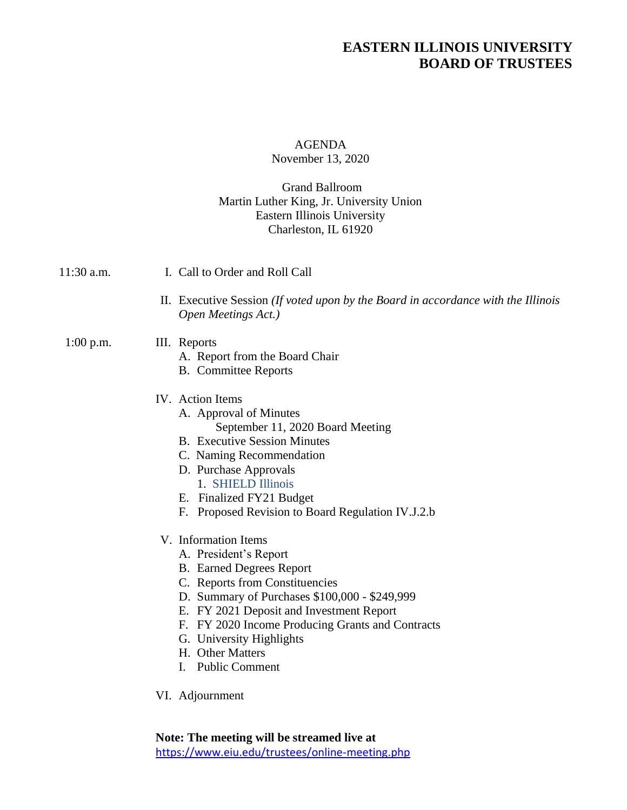# **EASTERN ILLINOIS UNIVERSITY BOARD OF TRUSTEES**

### AGENDA November 13, 2020

#### Grand Ballroom Martin Luther King, Jr. University Union Eastern Illinois University Charleston, IL 61920

| 11:30 a.m.  | I. Call to Order and Roll Call                                                                                                                                                                                                                                                                                                                                                                                                                                                                                                                                                                                                |
|-------------|-------------------------------------------------------------------------------------------------------------------------------------------------------------------------------------------------------------------------------------------------------------------------------------------------------------------------------------------------------------------------------------------------------------------------------------------------------------------------------------------------------------------------------------------------------------------------------------------------------------------------------|
|             | II. Executive Session <i>(If voted upon by the Board in accordance with the Illinois</i><br>Open Meetings Act.)                                                                                                                                                                                                                                                                                                                                                                                                                                                                                                               |
| $1:00$ p.m. | III. Reports<br>A. Report from the Board Chair<br><b>B.</b> Committee Reports                                                                                                                                                                                                                                                                                                                                                                                                                                                                                                                                                 |
|             | IV. Action Items<br>A. Approval of Minutes<br>September 11, 2020 Board Meeting<br><b>B.</b> Executive Session Minutes<br>C. Naming Recommendation<br>D. Purchase Approvals<br>1. SHIELD Illinois<br>E. Finalized FY21 Budget<br>F. Proposed Revision to Board Regulation IV.J.2.b<br>V. Information Items<br>A. President's Report<br><b>B.</b> Earned Degrees Report<br>C. Reports from Constituencies<br>D. Summary of Purchases \$100,000 - \$249,999<br>E. FY 2021 Deposit and Investment Report<br>F. FY 2020 Income Producing Grants and Contracts<br>G. University Highlights<br>H. Other Matters<br>I. Public Comment |
|             | VI. Adjournment                                                                                                                                                                                                                                                                                                                                                                                                                                                                                                                                                                                                               |

**Note: The meeting will be streamed live at**  <https://www.eiu.edu/trustees/online-meeting.php>